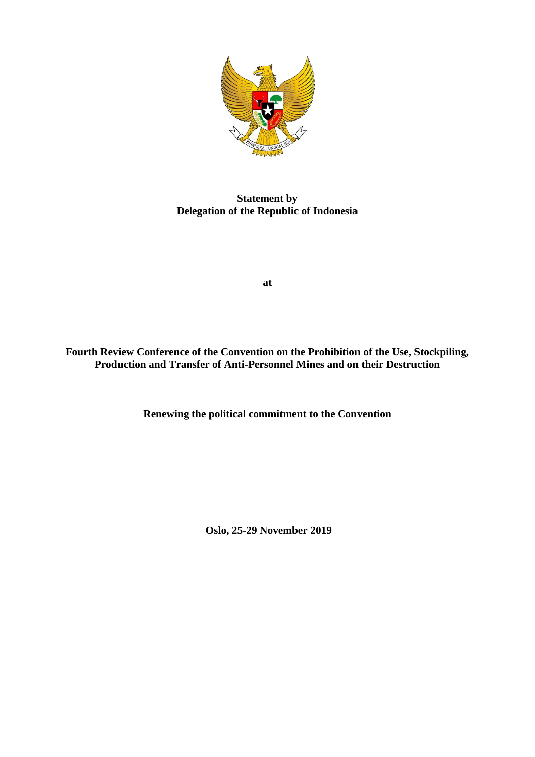

**Statement by Delegation of the Republic of Indonesia**

**at**

**Fourth Review Conference of the Convention on the Prohibition of the Use, Stockpiling, Production and Transfer of Anti-Personnel Mines and on their Destruction**

**Renewing the political commitment to the Convention**

**Oslo, 25-29 November 2019**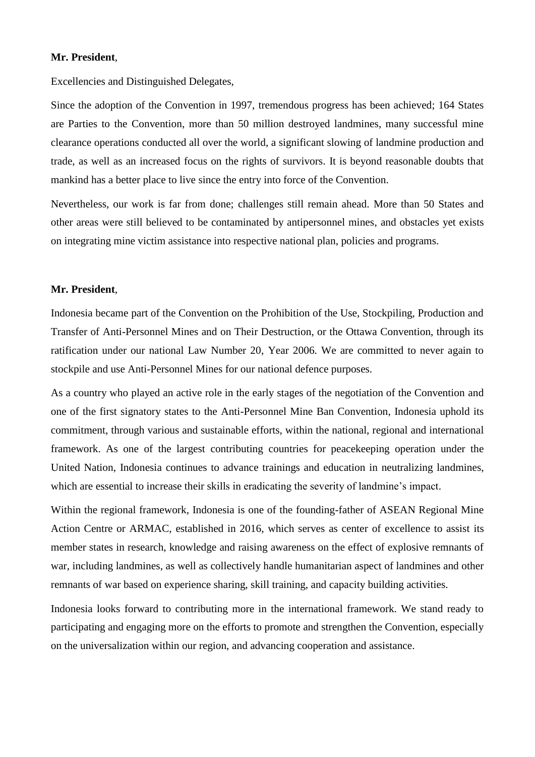## **Mr. President**,

Excellencies and Distinguished Delegates,

Since the adoption of the Convention in 1997, tremendous progress has been achieved; 164 States are Parties to the Convention, more than 50 million destroyed landmines, many successful mine clearance operations conducted all over the world, a significant slowing of landmine production and trade, as well as an increased focus on the rights of survivors. It is beyond reasonable doubts that mankind has a better place to live since the entry into force of the Convention.

Nevertheless, our work is far from done; challenges still remain ahead. More than 50 States and other areas were still believed to be contaminated by antipersonnel mines, and obstacles yet exists on integrating mine victim assistance into respective national plan, policies and programs.

## **Mr. President**,

Indonesia became part of the Convention on the Prohibition of the Use, Stockpiling, Production and Transfer of Anti-Personnel Mines and on Their Destruction, or the Ottawa Convention, through its ratification under our national Law Number 20, Year 2006. We are committed to never again to stockpile and use Anti-Personnel Mines for our national defence purposes.

As a country who played an active role in the early stages of the negotiation of the Convention and one of the first signatory states to the Anti-Personnel Mine Ban Convention, Indonesia uphold its commitment, through various and sustainable efforts, within the national, regional and international framework. As one of the largest contributing countries for peacekeeping operation under the United Nation, Indonesia continues to advance trainings and education in neutralizing landmines, which are essential to increase their skills in eradicating the severity of landmine's impact.

Within the regional framework, Indonesia is one of the founding-father of ASEAN Regional Mine Action Centre or ARMAC, established in 2016, which serves as center of excellence to assist its member states in research, knowledge and raising awareness on the effect of explosive remnants of war, including landmines, as well as collectively handle humanitarian aspect of landmines and other remnants of war based on experience sharing, skill training, and capacity building activities.

Indonesia looks forward to contributing more in the international framework. We stand ready to participating and engaging more on the efforts to promote and strengthen the Convention, especially on the universalization within our region, and advancing cooperation and assistance.